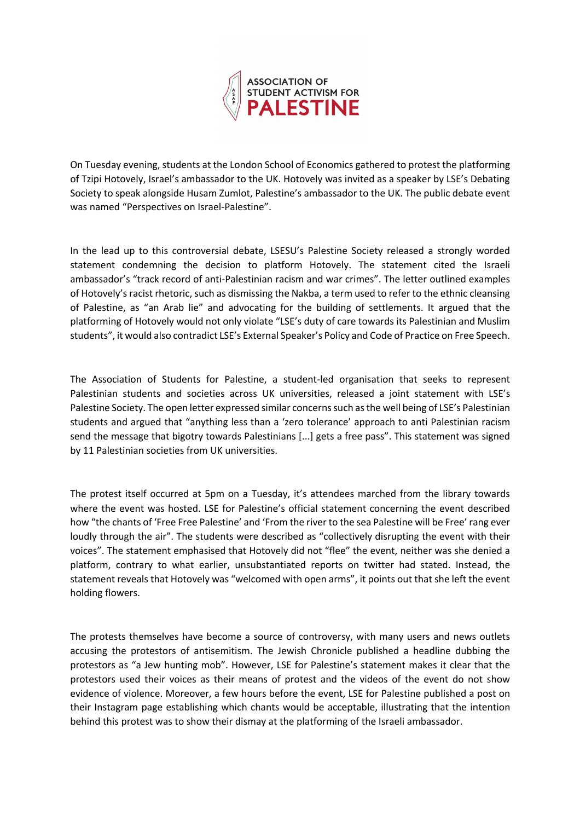

On Tuesday evening, students at the London School of Economics gathered to protest the platforming of Tzipi Hotovely, Israel's ambassador to the UK. Hotovely was invited as a speaker by LSE's Debating Society to speak alongside Husam Zumlot, Palestine's ambassador to the UK. The public debate event was named "Perspectives on Israel-Palestine".

In the lead up to this controversial debate, LSESU's Palestine Society released a strongly worded statement condemning the decision to platform Hotovely. The statement cited the Israeli ambassador's "track record of anti-Palestinian racism and war crimes". The letter outlined examples of Hotovely's racist rhetoric, such as dismissing the Nakba, a term used to refer to the ethnic cleansing of Palestine, as "an Arab lie" and advocating for the building of settlements. It argued that the platforming of Hotovely would not only violate "LSE's duty of care towards its Palestinian and Muslim students", it would also contradict LSE's External Speaker's Policy and Code of Practice on Free Speech.

The Association of Students for Palestine, a student-led organisation that seeks to represent Palestinian students and societies across UK universities, released a joint statement with LSE's Palestine Society. The open letter expressed similar concerns such as the well being of LSE's Palestinian students and argued that "anything less than a 'zero tolerance' approach to anti Palestinian racism send the message that bigotry towards Palestinians [...] gets a free pass". This statement was signed by 11 Palestinian societies from UK universities.

The protest itself occurred at 5pm on a Tuesday, it's attendees marched from the library towards where the event was hosted. LSE for Palestine's official statement concerning the event described how "the chants of 'Free Free Palestine' and 'From the river to the sea Palestine will be Free' rang ever loudly through the air". The students were described as "collectively disrupting the event with their voices". The statement emphasised that Hotovely did not "flee" the event, neither was she denied a platform, contrary to what earlier, unsubstantiated reports on twitter had stated. Instead, the statement reveals that Hotovely was "welcomed with open arms", it points out that she left the event holding flowers.

The protests themselves have become a source of controversy, with many users and news outlets accusing the protestors of antisemitism. The Jewish Chronicle published a headline dubbing the protestors as "a Jew hunting mob". However, LSE for Palestine's statement makes it clear that the protestors used their voices as their means of protest and the videos of the event do not show evidence of violence. Moreover, a few hours before the event, LSE for Palestine published a post on their Instagram page establishing which chants would be acceptable, illustrating that the intention behind this protest was to show their dismay at the platforming of the Israeli ambassador.